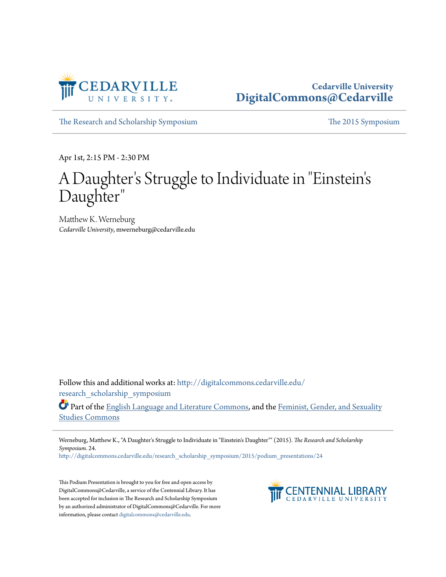

## **Cedarville University [DigitalCommons@Cedarville](http://digitalcommons.cedarville.edu?utm_source=digitalcommons.cedarville.edu%2Fresearch_scholarship_symposium%2F2015%2Fpodium_presentations%2F24&utm_medium=PDF&utm_campaign=PDFCoverPages)**

[The Research and Scholarship Symposium](http://digitalcommons.cedarville.edu/research_scholarship_symposium?utm_source=digitalcommons.cedarville.edu%2Fresearch_scholarship_symposium%2F2015%2Fpodium_presentations%2F24&utm_medium=PDF&utm_campaign=PDFCoverPages) [The 2015 Symposium](http://digitalcommons.cedarville.edu/research_scholarship_symposium/2015?utm_source=digitalcommons.cedarville.edu%2Fresearch_scholarship_symposium%2F2015%2Fpodium_presentations%2F24&utm_medium=PDF&utm_campaign=PDFCoverPages)

Apr 1st, 2:15 PM - 2:30 PM

# A Daughter 's Struggle to Individuate in "Einstein' s Daughter "

Matthew K. Werneburg *Cedarville University*, mwerneburg@cedarville.edu

Follow this and additional works at: [http://digitalcommons.cedarville.edu/](http://digitalcommons.cedarville.edu/research_scholarship_symposium?utm_source=digitalcommons.cedarville.edu%2Fresearch_scholarship_symposium%2F2015%2Fpodium_presentations%2F24&utm_medium=PDF&utm_campaign=PDFCoverPages) [research\\_scholarship\\_symposium](http://digitalcommons.cedarville.edu/research_scholarship_symposium?utm_source=digitalcommons.cedarville.edu%2Fresearch_scholarship_symposium%2F2015%2Fpodium_presentations%2F24&utm_medium=PDF&utm_campaign=PDFCoverPages)

Part of the [English Language and Literature Commons](http://network.bepress.com/hgg/discipline/455?utm_source=digitalcommons.cedarville.edu%2Fresearch_scholarship_symposium%2F2015%2Fpodium_presentations%2F24&utm_medium=PDF&utm_campaign=PDFCoverPages), and the [Feminist, Gender, and Sexuality](http://network.bepress.com/hgg/discipline/559?utm_source=digitalcommons.cedarville.edu%2Fresearch_scholarship_symposium%2F2015%2Fpodium_presentations%2F24&utm_medium=PDF&utm_campaign=PDFCoverPages) [Studies Commons](http://network.bepress.com/hgg/discipline/559?utm_source=digitalcommons.cedarville.edu%2Fresearch_scholarship_symposium%2F2015%2Fpodium_presentations%2F24&utm_medium=PDF&utm_campaign=PDFCoverPages)

Werneburg, Matthew K., "A Daughter's Struggle to Individuate in "Einstein's Daughter"" (2015). *The Research and Scholarship Symposium*. 24.

[http://digitalcommons.cedarville.edu/research\\_scholarship\\_symposium/2015/podium\\_presentations/24](http://digitalcommons.cedarville.edu/research_scholarship_symposium/2015/podium_presentations/24?utm_source=digitalcommons.cedarville.edu%2Fresearch_scholarship_symposium%2F2015%2Fpodium_presentations%2F24&utm_medium=PDF&utm_campaign=PDFCoverPages)

This Podium Presentation is brought to you for free and open access by DigitalCommons@Cedarville, a service of the Centennial Library. It has been accepted for inclusion in The Research and Scholarship Symposium by an authorized administrator of DigitalCommons@Cedarville. For more information, please contact [digitalcommons@cedarville.edu.](mailto:digitalcommons@cedarville.edu)

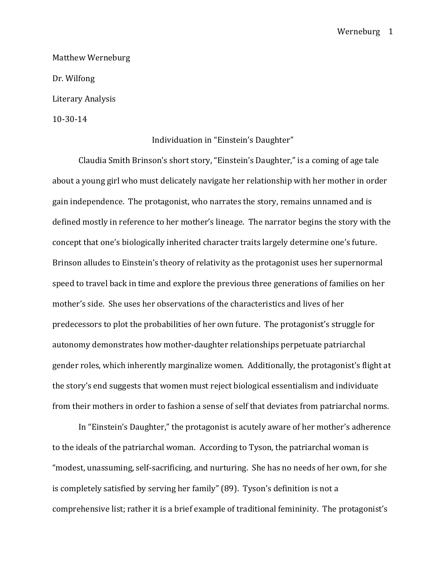Matthew Werneburg Dr. Wilfong Literary Analysis 10-30-14

#### Individuation in "Einstein's Daughter"

Claudia Smith Brinson's short story, "Einstein's Daughter," is a coming of age tale about a young girl who must delicately navigate her relationship with her mother in order gain independence. The protagonist, who narrates the story, remains unnamed and is defined mostly in reference to her mother's lineage. The narrator begins the story with the concept that one's biologically inherited character traits largely determine one's future. Brinson alludes to Einstein's theory of relativity as the protagonist uses her supernormal speed to travel back in time and explore the previous three generations of families on her mother's side. She uses her observations of the characteristics and lives of her predecessors to plot the probabilities of her own future. The protagonist's struggle for autonomy demonstrates how mother-daughter relationships perpetuate patriarchal gender roles, which inherently marginalize women. Additionally, the protagonist's flight at the story's end suggests that women must reject biological essentialism and individuate from their mothers in order to fashion a sense of self that deviates from patriarchal norms.

In "Einstein's Daughter," the protagonist is acutely aware of her mother's adherence to the ideals of the patriarchal woman. According to Tyson, the patriarchal woman is "modest, unassuming, self-sacrificing, and nurturing. She has no needs of her own, for she is completely satisfied by serving her family" (89). Tyson's definition is not a comprehensive list; rather it is a brief example of traditional femininity. The protagonist's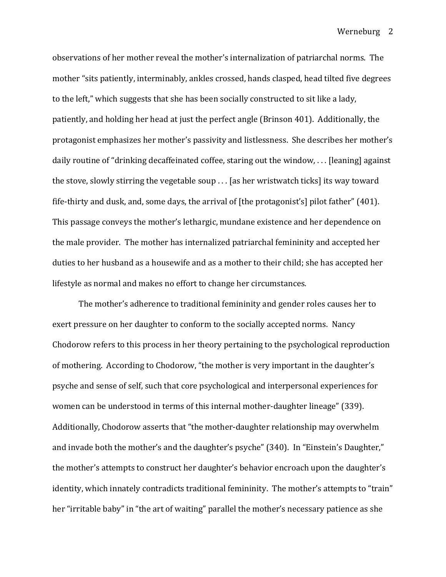observations of her mother reveal the mother's internalization of patriarchal norms. The mother "sits patiently, interminably, ankles crossed, hands clasped, head tilted five degrees to the left," which suggests that she has been socially constructed to sit like a lady, patiently, and holding her head at just the perfect angle (Brinson 401). Additionally, the protagonist emphasizes her mother's passivity and listlessness. She describes her mother's daily routine of "drinking decaffeinated coffee, staring out the window, . . . [leaning] against the stove, slowly stirring the vegetable soup . . . [as her wristwatch ticks] its way toward fife-thirty and dusk, and, some days, the arrival of [the protagonist's] pilot father" (401). This passage conveys the mother's lethargic, mundane existence and her dependence on the male provider. The mother has internalized patriarchal femininity and accepted her duties to her husband as a housewife and as a mother to their child; she has accepted her lifestyle as normal and makes no effort to change her circumstances.

The mother's adherence to traditional femininity and gender roles causes her to exert pressure on her daughter to conform to the socially accepted norms. Nancy Chodorow refers to this process in her theory pertaining to the psychological reproduction of mothering. According to Chodorow, "the mother is very important in the daughter's psyche and sense of self, such that core psychological and interpersonal experiences for women can be understood in terms of this internal mother-daughter lineage" (339). Additionally, Chodorow asserts that "the mother-daughter relationship may overwhelm and invade both the mother's and the daughter's psyche" (340). In "Einstein's Daughter," the mother's attempts to construct her daughter's behavior encroach upon the daughter's identity, which innately contradicts traditional femininity. The mother's attempts to "train" her "irritable baby" in "the art of waiting" parallel the mother's necessary patience as she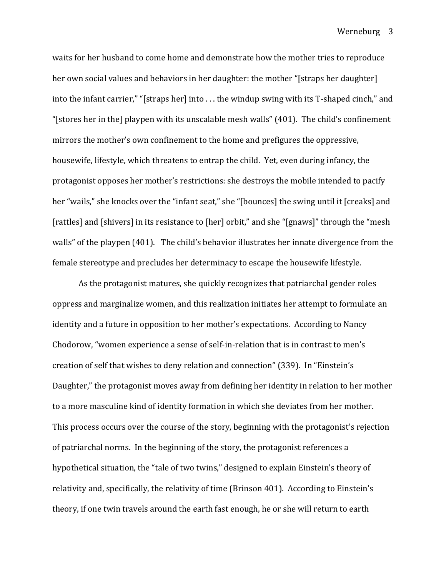waits for her husband to come home and demonstrate how the mother tries to reproduce her own social values and behaviors in her daughter: the mother "[straps her daughter] into the infant carrier," "[straps her] into . . . the windup swing with its T-shaped cinch," and "[stores her in the] playpen with its unscalable mesh walls" (401). The child's confinement mirrors the mother's own confinement to the home and prefigures the oppressive, housewife, lifestyle, which threatens to entrap the child. Yet, even during infancy, the protagonist opposes her mother's restrictions: she destroys the mobile intended to pacify her "wails," she knocks over the "infant seat," she "[bounces] the swing until it [creaks] and [rattles] and [shivers] in its resistance to [her] orbit," and she "[gnaws]" through the "mesh" walls" of the playpen (401). The child's behavior illustrates her innate divergence from the female stereotype and precludes her determinacy to escape the housewife lifestyle.

As the protagonist matures, she quickly recognizes that patriarchal gender roles oppress and marginalize women, and this realization initiates her attempt to formulate an identity and a future in opposition to her mother's expectations. According to Nancy Chodorow, "women experience a sense of self-in-relation that is in contrast to men's creation of self that wishes to deny relation and connection" (339). In "Einstein's Daughter," the protagonist moves away from defining her identity in relation to her mother to a more masculine kind of identity formation in which she deviates from her mother. This process occurs over the course of the story, beginning with the protagonist's rejection of patriarchal norms. In the beginning of the story, the protagonist references a hypothetical situation, the "tale of two twins," designed to explain Einstein's theory of relativity and, specifically, the relativity of time (Brinson 401). According to Einstein's theory, if one twin travels around the earth fast enough, he or she will return to earth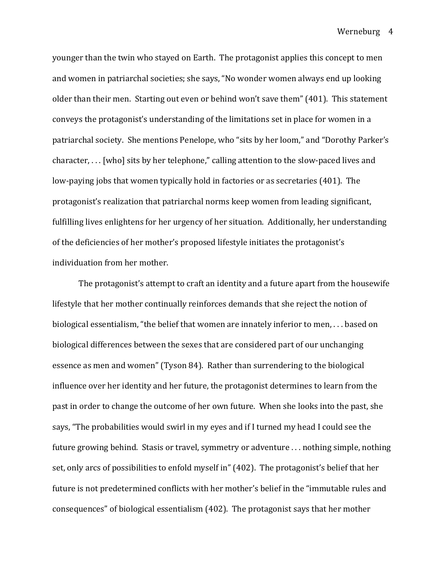younger than the twin who stayed on Earth. The protagonist applies this concept to men and women in patriarchal societies; she says, "No wonder women always end up looking older than their men. Starting out even or behind won't save them" (401). This statement conveys the protagonist's understanding of the limitations set in place for women in a patriarchal society. She mentions Penelope, who "sits by her loom," and "Dorothy Parker's character, . . . [who] sits by her telephone," calling attention to the slow-paced lives and low-paying jobs that women typically hold in factories or as secretaries (401). The protagonist's realization that patriarchal norms keep women from leading significant, fulfilling lives enlightens for her urgency of her situation. Additionally, her understanding of the deficiencies of her mother's proposed lifestyle initiates the protagonist's individuation from her mother.

The protagonist's attempt to craft an identity and a future apart from the housewife lifestyle that her mother continually reinforces demands that she reject the notion of biological essentialism, "the belief that women are innately inferior to men, . . . based on biological differences between the sexes that are considered part of our unchanging essence as men and women" (Tyson 84). Rather than surrendering to the biological influence over her identity and her future, the protagonist determines to learn from the past in order to change the outcome of her own future. When she looks into the past, she says, "The probabilities would swirl in my eyes and if I turned my head I could see the future growing behind. Stasis or travel, symmetry or adventure . . . nothing simple, nothing set, only arcs of possibilities to enfold myself in" (402). The protagonist's belief that her future is not predetermined conflicts with her mother's belief in the "immutable rules and consequences" of biological essentialism (402). The protagonist says that her mother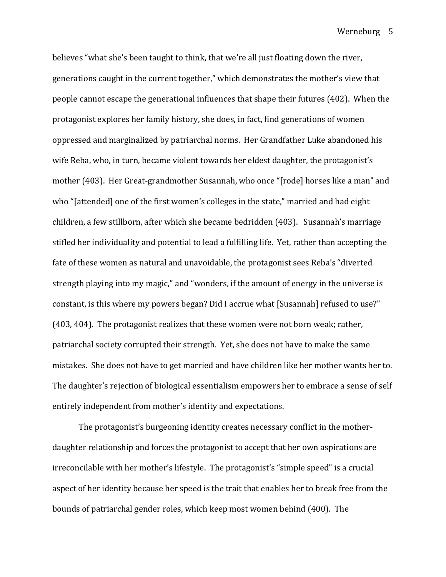believes "what she's been taught to think, that we're all just floating down the river, generations caught in the current together," which demonstrates the mother's view that people cannot escape the generational influences that shape their futures (402). When the protagonist explores her family history, she does, in fact, find generations of women oppressed and marginalized by patriarchal norms. Her Grandfather Luke abandoned his wife Reba, who, in turn, became violent towards her eldest daughter, the protagonist's mother (403). Her Great-grandmother Susannah, who once "[rode] horses like a man" and who "[attended] one of the first women's colleges in the state," married and had eight children, a few stillborn, after which she became bedridden (403). Susannah's marriage stifled her individuality and potential to lead a fulfilling life. Yet, rather than accepting the fate of these women as natural and unavoidable, the protagonist sees Reba's "diverted strength playing into my magic," and "wonders, if the amount of energy in the universe is constant, is this where my powers began? Did I accrue what [Susannah] refused to use?" (403, 404). The protagonist realizes that these women were not born weak; rather, patriarchal society corrupted their strength. Yet, she does not have to make the same mistakes. She does not have to get married and have children like her mother wants her to. The daughter's rejection of biological essentialism empowers her to embrace a sense of self entirely independent from mother's identity and expectations.

The protagonist's burgeoning identity creates necessary conflict in the motherdaughter relationship and forces the protagonist to accept that her own aspirations are irreconcilable with her mother's lifestyle. The protagonist's "simple speed" is a crucial aspect of her identity because her speed is the trait that enables her to break free from the bounds of patriarchal gender roles, which keep most women behind (400). The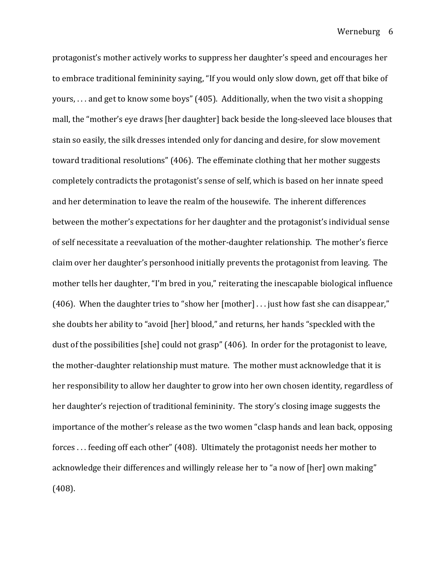protagonist's mother actively works to suppress her daughter's speed and encourages her to embrace traditional femininity saying, "If you would only slow down, get off that bike of yours, . . . and get to know some boys" (405). Additionally, when the two visit a shopping mall, the "mother's eye draws [her daughter] back beside the long-sleeved lace blouses that stain so easily, the silk dresses intended only for dancing and desire, for slow movement toward traditional resolutions" (406). The effeminate clothing that her mother suggests completely contradicts the protagonist's sense of self, which is based on her innate speed and her determination to leave the realm of the housewife. The inherent differences between the mother's expectations for her daughter and the protagonist's individual sense of self necessitate a reevaluation of the mother-daughter relationship. The mother's fierce claim over her daughter's personhood initially prevents the protagonist from leaving. The mother tells her daughter, "I'm bred in you," reiterating the inescapable biological influence (406). When the daughter tries to "show her [mother] . . . just how fast she can disappear," she doubts her ability to "avoid [her] blood," and returns, her hands "speckled with the dust of the possibilities [she] could not grasp" (406). In order for the protagonist to leave, the mother-daughter relationship must mature. The mother must acknowledge that it is her responsibility to allow her daughter to grow into her own chosen identity, regardless of her daughter's rejection of traditional femininity. The story's closing image suggests the importance of the mother's release as the two women "clasp hands and lean back, opposing forces . . . feeding off each other" (408). Ultimately the protagonist needs her mother to acknowledge their differences and willingly release her to "a now of [her] own making" (408).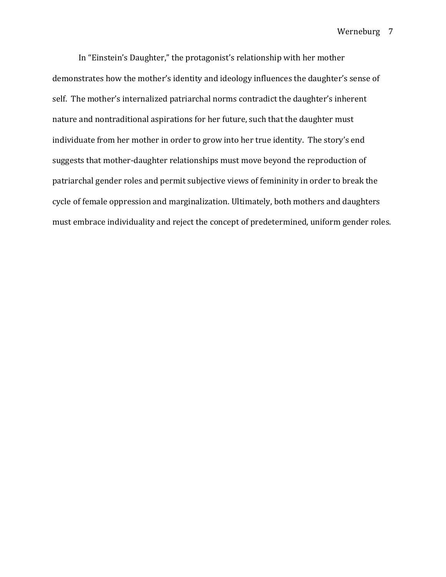In "Einstein's Daughter," the protagonist's relationship with her mother demonstrates how the mother's identity and ideology influences the daughter's sense of self. The mother's internalized patriarchal norms contradict the daughter's inherent nature and nontraditional aspirations for her future, such that the daughter must individuate from her mother in order to grow into her true identity. The story's end suggests that mother-daughter relationships must move beyond the reproduction of patriarchal gender roles and permit subjective views of femininity in order to break the cycle of female oppression and marginalization. Ultimately, both mothers and daughters must embrace individuality and reject the concept of predetermined, uniform gender roles.